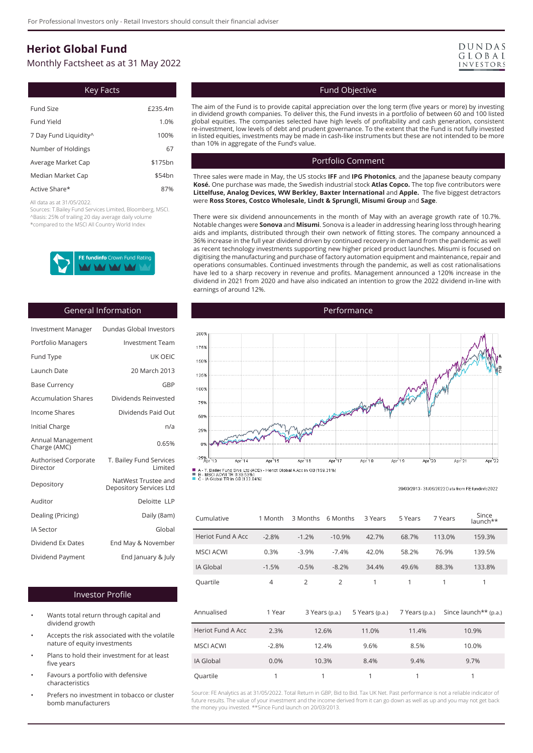# **Heriot Global Fund**

Monthly Factsheet as at 31 May 2022

| Key Facts             |                     |  |  |  |
|-----------------------|---------------------|--|--|--|
| Fund Size             | £235.4m             |  |  |  |
| Fund Yield            | 1.0%                |  |  |  |
| 7 Day Fund Liquidity^ | 100%                |  |  |  |
| Number of Holdings    | 67                  |  |  |  |
| Average Market Cap    | \$175 <sub>bn</sub> |  |  |  |
| Median Market Cap     | \$54bn              |  |  |  |
| Active Share*         | 87%                 |  |  |  |

All data as at 31/05/2022.

Sources: T.Bailey Fund Services Limited, Bloomberg, MSCI. ^Basis: 25% of trailing 20 day average daily volume \*compared to the MSCI All Country World Index



#### General Information

| <b>Investment Manager</b>               | Dundas Global Investors                        |
|-----------------------------------------|------------------------------------------------|
| Portfolio Managers                      | <b>Investment Team</b>                         |
| Fund Type                               | UK OEIC                                        |
| Launch Date                             | 20 March 2013                                  |
| <b>Base Currency</b>                    | GBP                                            |
| <b>Accumulation Shares</b>              | Dividends Reinvested                           |
| Income Shares                           | Dividends Paid Out                             |
| Initial Charge                          | n/a                                            |
| Annual Management<br>Charge (AMC)       | 0.65%                                          |
| <b>Authorised Corporate</b><br>Director | T. Bailey Fund Services<br>Limited             |
| Depository                              | NatWest Trustee and<br>Depository Services Ltd |
| Auditor                                 | Deloitte LLP                                   |
| Dealing (Pricing)                       | Daily (8am)                                    |
| <b>IA Sector</b>                        | Global                                         |
| Dividend Ex Dates                       | End May & November                             |
| Dividend Payment                        | End January & July                             |

#### Investor Profile

- Wants total return through capital and dividend growth
- Accepts the risk associated with the volatile nature of equity investments
- Plans to hold their investment for at least five years
- Favours a portfolio with defensive characteristics
- Prefers no investment in tobacco or cluster bomb manufacturers

| DUNDAS    |  |
|-----------|--|
| GLOBAL    |  |
| INVESTORS |  |

## Fund Objective

The aim of the Fund is to provide capital appreciation over the long term (five years or more) by investing in dividend growth companies. To deliver this, the Fund invests in a portfolio of between 60 and 100 listed global equities. The companies selected have high levels of profitability and cash generation, consistent re-investment, low levels of debt and prudent governance. To the extent that the Fund is not fully invested in listed equities, investments may be made in cash-like instruments but these are not intended to be more than 10% in aggregate of the Fund's value.

#### Portfolio Comment

Three sales were made in May, the US stocks **IFF** and **IPG Photonics**, and the Japanese beauty company **Kosé.** One purchase was made, the Swedish industrial stock **Atlas Copco.** The top five contributors were **Littelfuse, Analog Devices, WW Berkley, Baxter International** and **Apple.** The five biggest detractors were **Ross Stores, Costco Wholesale, Lindt & Sprungli, Misumi Group** and **Sage**.

There were six dividend announcements in the month of May with an average growth rate of 10.7%. Notable changes were **Sonova** and **Misumi**. Sonova is a leader in addressing hearing loss through hearing aids and implants, distributed through their own network of fitting stores. The company announced a 36% increase in the full year dividend driven by continued recovery in demand from the pandemic as well as recent technology investments supporting new higher priced product launches. Misumi is focused on digitising the manufacturing and purchase of factory automation equipment and maintenance, repair and operations consumables. Continued investments through the pandemic, as well as cost rationalisations have led to a sharp recovery in revenue and profits. Management announced a 120% increase in the dividend in 2021 from 2020 and have also indicated an intention to grow the 2022 dividend in-line with earnings of around 12%.



<sup>20/03/2013 - 31/05/2022</sup> Data from EE fundinfo2022

| Cumulative        | 1 Month        | 3 Months       | 6 Months       | 3 Years        | 5 Years        | 7 Years | Since<br>launch**     |  |
|-------------------|----------------|----------------|----------------|----------------|----------------|---------|-----------------------|--|
| Heriot Fund A Acc | $-2.8%$        | $-1.2%$        | $-10.9%$       | 42.7%          | 68.7%          | 113.0%  | 159.3%                |  |
| <b>MSCI ACWI</b>  | 0.3%           | $-3.9%$        | $-7.4%$        | 42.0%          | 58.2%          | 76.9%   | 139.5%                |  |
| IA Global         | $-1.5%$        | $-0.5%$        | $-8.2%$        | 34.4%          | 49.6%          | 88.3%   | 133.8%                |  |
| Quartile          | $\overline{4}$ | $\overline{2}$ | $\overline{2}$ | 1              | 1              | 1       | 1                     |  |
| Annualised        | 1 Year         |                | 3 Years (p.a.) | 5 Years (p.a.) | 7 Years (p.a.) |         | Since launch** (p.a.) |  |
| Heriot Fund A Acc | 2.3%           |                | 12.6%          | 11.0%          | 11.4%          |         | 10.9%                 |  |
| <b>MSCI ACWI</b>  | $-2.8%$        |                | 12.4%          | 9.6%           | 8.5%           |         | 10.0%                 |  |
| IA Global         | 0.0%           | 10.3%          |                | 8.4%           | 9.4%           |         | 9.7%                  |  |
| Quartile          | 1<br>1         |                |                | 1              | 1              |         | 1                     |  |

Source: FE Analytics as at 31/05/2022. Total Return in GBP, Bid to Bid. Tax UK Net. Past performance is not a reliable indicator of future results. The value of your investment and the income derived from it can go down as well as up and you may not get back the money you invested. \*\*Since Fund launch on 20/03/2013.